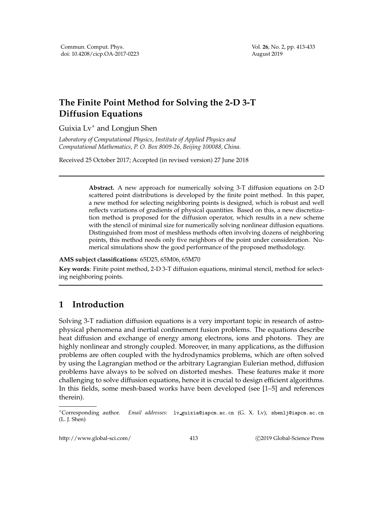## **The Finite Point Method for Solving the 2-D 3-T Diffusion Equations**

Guixia Lv∗ and Longjun Shen

*Laboratory of Computational Physics, Institute of Applied Physics and Computational Mathematics, P. O. Box 8009-26, Beijing 100088, China.*

Received 25 October 2017; Accepted (in revised version) 27 June 2018

**Abstract.** A new approach for numerically solving 3-T diffusion equations on 2-D scattered point distributions is developed by the finite point method. In this paper, a new method for selecting neighboring points is designed, which is robust and well reflects variations of gradients of physical quantities. Based on this, a new discretization method is proposed for the diffusion operator, which results in a new scheme with the stencil of minimal size for numerically solving nonlinear diffusion equations. Distinguished from most of meshless methods often involving dozens of neighboring points, this method needs only five neighbors of the point under consideration. Numerical simulations show the good performance of the proposed methodology.

## **AMS subject classifications**: 65D25, 65M06, 65M70

**Key words**: Finite point method, 2-D 3-T diffusion equations, minimal stencil, method for selecting neighboring points.

## **1 Introduction**

Solving 3-T radiation diffusion equations is a very important topic in research of astrophysical phenomena and inertial confinement fusion problems. The equations describe heat diffusion and exchange of energy among electrons, ions and photons. They are highly nonlinear and strongly coupled. Moreover, in many applications, as the diffusion problems are often coupled with the hydrodynamics problems, which are often solved by using the Lagrangian method or the arbitrary Lagrangian Eulerian method, diffusion problems have always to be solved on distorted meshes. These features make it more challenging to solve diffusion equations, hence it is crucial to design efficient algorithms. In this fields, some mesh-based works have been developed (see [1–5] and references therein).

http://www.global-sci.com/ 413 c 2019 Global-Science Press

<sup>∗</sup>Corresponding author. *Email addresses:* lv guixia@iapcm.ac.cn (G. X. Lv), shenlj@iapcm.ac.cn (L. J. Shen)